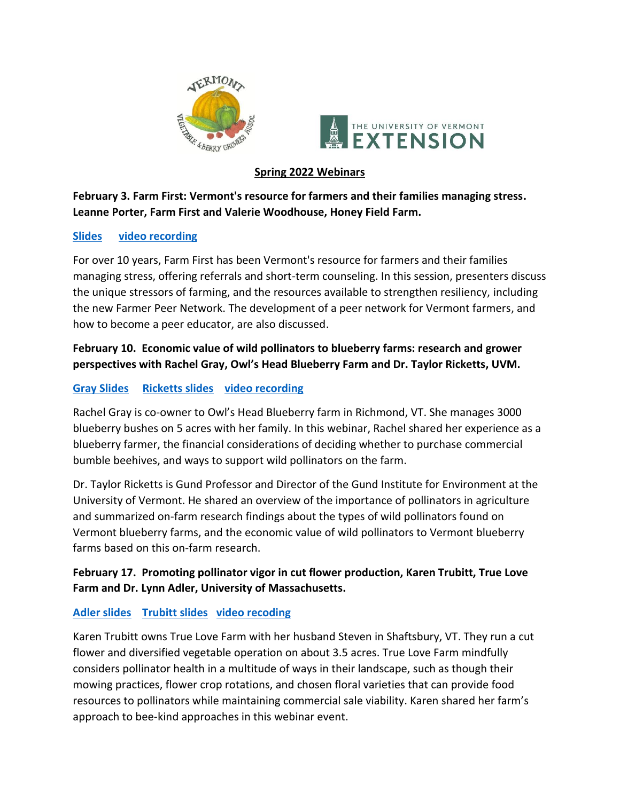



#### **Spring 2022 Webinars**

**February 3. Farm First: Vermont's resource for farmers and their families managing stress. Leanne Porter, Farm First and Valerie Woodhouse, Honey Field Farm.**

### **[Slides](https://www.uvm.edu/sites/default/files/UVM-Extension-Cultivating-Healthy-Communities/horticulture/webinars/FarmFirstWebinar2-3-22.pdf) [video recording](https://www.youtube.com/watch?v=z7yY-UNPxOY)**

For over 10 years, Farm First has been Vermont's resource for farmers and their families managing stress, offering referrals and short-term counseling. In this session, presenters discuss the unique stressors of farming, and the resources available to strengthen resiliency, including the new Farmer Peer Network. The development of a peer network for Vermont farmers, and how to become a peer educator, are also discussed.

# **February 10. Economic value of wild pollinators to blueberry farms: research and grower perspectives with Rachel Gray, Owl's Head Blueberry Farm and Dr. Taylor Ricketts, UVM.**

### **[Gray Slides](https://www.uvm.edu/sites/default/files/UVM-Extension-Cultivating-Healthy-Communities/horticulture/webinars/Blueberry_Pollination_Owls_Head_2-10-22.pdf) [Ricketts slides](https://www.uvm.edu/sites/default/files/UVM-Extension-Cultivating-Healthy-Communities/horticulture/webinars/Economics_Blueberry_Pollinators_Rickets_2-10-22.pdf) [video recording](https://youtu.be/CUc8peErrIo)**

Rachel Gray is co-owner to Owl's Head Blueberry farm in Richmond, VT. She manages 3000 blueberry bushes on 5 acres with her family. In this webinar, Rachel shared her experience as a blueberry farmer, the financial considerations of deciding whether to purchase commercial bumble beehives, and ways to support wild pollinators on the farm.

Dr. Taylor Ricketts is Gund Professor and Director of the Gund Institute for Environment at the University of Vermont. He shared an overview of the importance of pollinators in agriculture and summarized on-farm research findings about the types of wild pollinators found on Vermont blueberry farms, and the economic value of wild pollinators to Vermont blueberry farms based on this on-farm research.

# **February 17. Promoting pollinator vigor in cut flower production, Karen Trubitt, True Love Farm and Dr. Lynn Adler, University of Massachusetts.**

### **[Adler slides](https://www.uvm.edu/sites/default/files/UVM-Extension-Cultivating-Healthy-Communities/horticulture/webinars/Adler_Pollinator_Research_2-17-22.pdf) [Trubitt slides](https://www.uvm.edu/sites/default/files/UVM-Extension-Cultivating-Healthy-Communities/horticulture/webinars/Trubitt_Farm_Pollinators_2-17-22.pdf) [video recoding](https://youtu.be/jKu5gHCil1c)**

Karen Trubitt owns True Love Farm with her husband Steven in Shaftsbury, VT. They run a cut flower and diversified vegetable operation on about 3.5 acres. True Love Farm mindfully considers pollinator health in a multitude of ways in their landscape, such as though their mowing practices, flower crop rotations, and chosen floral varieties that can provide food resources to pollinators while maintaining commercial sale viability. Karen shared her farm's approach to bee-kind approaches in this webinar event.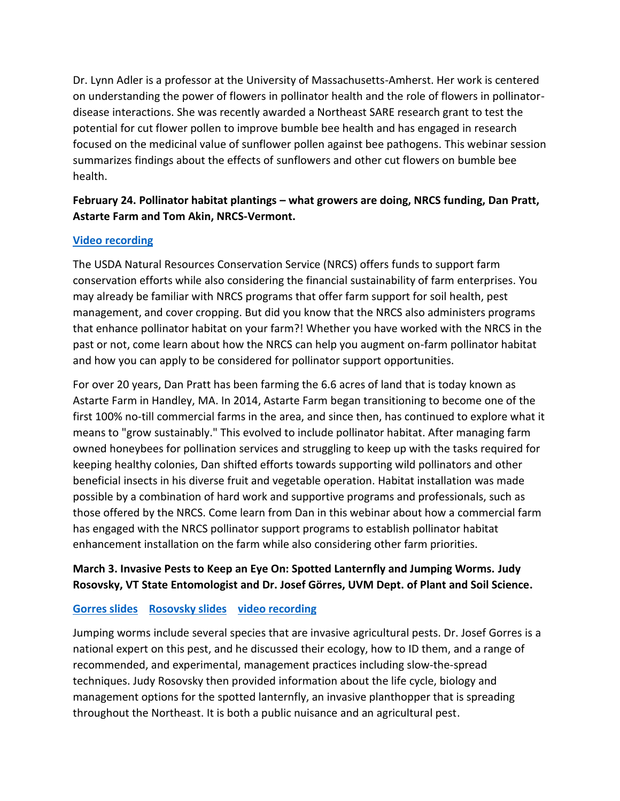Dr. Lynn Adler is a professor at the University of Massachusetts-Amherst. Her work is centered on understanding the power of flowers in pollinator health and the role of flowers in pollinatordisease interactions. She was recently awarded a Northeast SARE research grant to test the potential for cut flower pollen to improve bumble bee health and has engaged in research focused on the medicinal value of sunflower pollen against bee pathogens. This webinar session summarizes findings about the effects of sunflowers and other cut flowers on bumble bee health.

# **February 24. Pollinator habitat plantings – what growers are doing, NRCS funding, Dan Pratt, Astarte Farm and Tom Akin, NRCS-Vermont.**

#### **[Video recording](https://youtu.be/Xm7pXPsHlUU)**

The USDA Natural Resources Conservation Service (NRCS) offers funds to support farm conservation efforts while also considering the financial sustainability of farm enterprises. You may already be familiar with NRCS programs that offer farm support for soil health, pest management, and cover cropping. But did you know that the NRCS also administers programs that enhance pollinator habitat on your farm?! Whether you have worked with the NRCS in the past or not, come learn about how the NRCS can help you augment on-farm pollinator habitat and how you can apply to be considered for pollinator support opportunities.

For over 20 years, Dan Pratt has been farming the 6.6 acres of land that is today known as Astarte Farm in Handley, MA. In 2014, Astarte Farm began transitioning to become one of the first 100% no-till commercial farms in the area, and since then, has continued to explore what it means to "grow sustainably." This evolved to include pollinator habitat. After managing farm owned honeybees for pollination services and struggling to keep up with the tasks required for keeping healthy colonies, Dan shifted efforts towards supporting wild pollinators and other beneficial insects in his diverse fruit and vegetable operation. Habitat installation was made possible by a combination of hard work and supportive programs and professionals, such as those offered by the NRCS. Come learn from Dan in this webinar about how a commercial farm has engaged with the NRCS pollinator support programs to establish pollinator habitat enhancement installation on the farm while also considering other farm priorities.

### **March 3. Invasive Pests to Keep an Eye On: Spotted Lanternfly and Jumping Worms. Judy Rosovsky, VT State Entomologist and Dr. Josef Görres, UVM Dept. of Plant and Soil Science.**

### **[Gorres slides](https://www.uvm.edu/sites/default/files/UVM-Extension-Cultivating-Healthy-Communities/horticulture/webinars/JumpingWormsGorres_3-3-22.pdf) [Rosovsky slides](https://www.uvm.edu/sites/default/files/UVM-Extension-Cultivating-Healthy-Communities/horticulture/webinars/SpottedLanternFly_Rosovsky_3-3-22.pdf) [video recording](https://youtu.be/UNPIXUsuIo4)**

Jumping worms include several species that are invasive agricultural pests. Dr. Josef Gorres is a national expert on this pest, and he discussed their ecology, how to ID them, and a range of recommended, and experimental, management practices including slow-the-spread techniques. Judy Rosovsky then provided information about the life cycle, biology and management options for the spotted lanternfly, an invasive planthopper that is spreading throughout the Northeast. It is both a public nuisance and an agricultural pest.